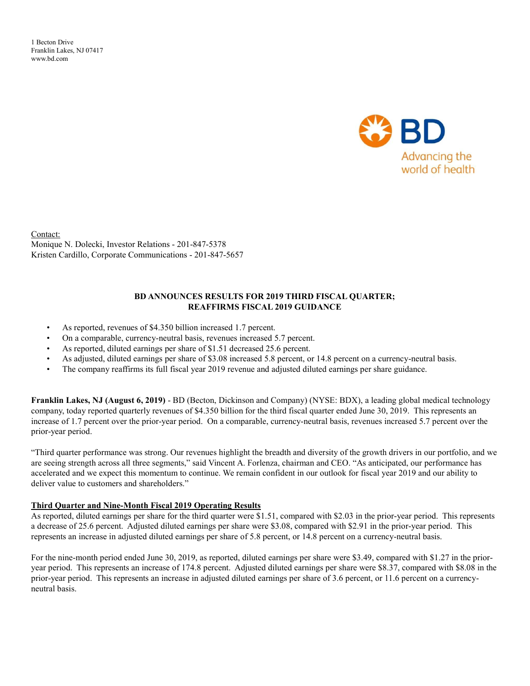1 Becton Drive Franklin Lakes, NJ 07417 www.bd.com



Contact: Monique N. Dolecki, Investor Relations - 201-847-5378 Kristen Cardillo, Corporate Communications - 201-847-5657

#### BD ANNOUNCES RESULTS FOR 2019 THIRD FISCAL QUARTER; REAFFIRMS FISCAL 2019 GUIDANCE

- As reported, revenues of \$4.350 billion increased 1.7 percent.
- On a comparable, currency-neutral basis, revenues increased 5.7 percent.
- As reported, diluted earnings per share of \$1.51 decreased 25.6 percent.
- As adjusted, diluted earnings per share of \$3.08 increased 5.8 percent, or 14.8 percent on a currency-neutral basis.
- The company reaffirms its full fiscal year 2019 revenue and adjusted diluted earnings per share guidance.

Franklin Lakes, NJ (August 6, 2019) - BD (Becton, Dickinson and Company) (NYSE: BDX), a leading global medical technology company, today reported quarterly revenues of \$4.350 billion for the third fiscal quarter ended June 30, 2019. This represents an increase of 1.7 percent over the prior-year period. On a comparable, currency-neutral basis, revenues increased 5.7 percent over the prior-year period.

"Third quarter performance was strong. Our revenues highlight the breadth and diversity of the growth drivers in our portfolio, and we are seeing strength across all three segments," said Vincent A. Forlenza, chairman and CEO. "As anticipated, our performance has accelerated and we expect this momentum to continue. We remain confident in our outlook for fiscal year 2019 and our ability to deliver value to customers and shareholders."

#### Third Quarter and Nine-Month Fiscal 2019 Operating Results

As reported, diluted earnings per share for the third quarter were \$1.51, compared with \$2.03 in the prior-year period. This represents a decrease of 25.6 percent. Adjusted diluted earnings per share were \$3.08, compared with \$2.91 in the prior-year period. This represents an increase in adjusted diluted earnings per share of 5.8 percent, or 14.8 percent on a currency-neutral basis.

For the nine-month period ended June 30, 2019, as reported, diluted earnings per share were \$3.49, compared with \$1.27 in the prioryear period. This represents an increase of 174.8 percent. Adjusted diluted earnings per share were \$8.37, compared with \$8.08 in the prior-year period. This represents an increase in adjusted diluted earnings per share of 3.6 percent, or 11.6 percent on a currencyneutral basis.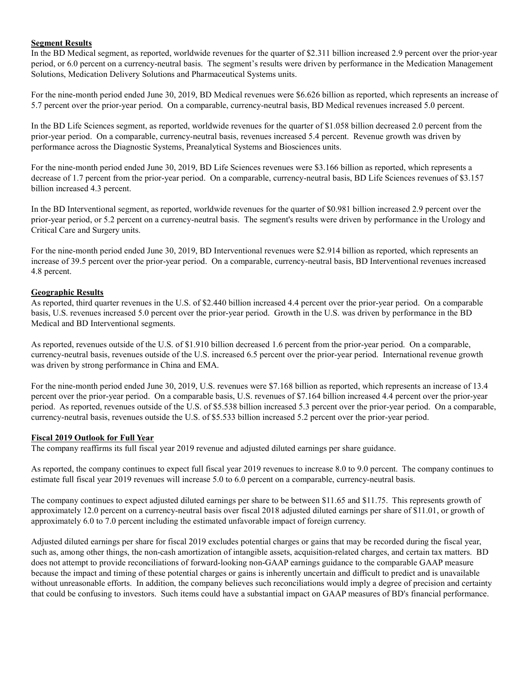### Segment Results

In the BD Medical segment, as reported, worldwide revenues for the quarter of \$2.311 billion increased 2.9 percent over the prior-year period, or 6.0 percent on a currency-neutral basis. The segment's results were driven by performance in the Medication Management Solutions, Medication Delivery Solutions and Pharmaceutical Systems units.

For the nine-month period ended June 30, 2019, BD Medical revenues were \$6.626 billion as reported, which represents an increase of 5.7 percent over the prior-year period. On a comparable, currency-neutral basis, BD Medical revenues increased 5.0 percent.

In the BD Life Sciences segment, as reported, worldwide revenues for the quarter of \$1.058 billion decreased 2.0 percent from the prior-year period. On a comparable, currency-neutral basis, revenues increased 5.4 percent. Revenue growth was driven by performance across the Diagnostic Systems, Preanalytical Systems and Biosciences units.

For the nine-month period ended June 30, 2019, BD Life Sciences revenues were \$3.166 billion as reported, which represents a decrease of 1.7 percent from the prior-year period. On a comparable, currency-neutral basis, BD Life Sciences revenues of \$3.157 billion increased 4.3 percent.

In the BD Interventional segment, as reported, worldwide revenues for the quarter of \$0.981 billion increased 2.9 percent over the prior-year period, or 5.2 percent on a currency-neutral basis. The segment's results were driven by performance in the Urology and Critical Care and Surgery units.

For the nine-month period ended June 30, 2019, BD Interventional revenues were \$2.914 billion as reported, which represents an increase of 39.5 percent over the prior-year period. On a comparable, currency-neutral basis, BD Interventional revenues increased 4.8 percent.

#### Geographic Results

As reported, third quarter revenues in the U.S. of \$2.440 billion increased 4.4 percent over the prior-year period. On a comparable basis, U.S. revenues increased 5.0 percent over the prior-year period. Growth in the U.S. was driven by performance in the BD Medical and BD Interventional segments.

As reported, revenues outside of the U.S. of \$1.910 billion decreased 1.6 percent from the prior-year period. On a comparable, currency-neutral basis, revenues outside of the U.S. increased 6.5 percent over the prior-year period. International revenue growth was driven by strong performance in China and EMA.

For the nine-month period ended June 30, 2019, U.S. revenues were \$7.168 billion as reported, which represents an increase of 13.4 percent over the prior-year period. On a comparable basis, U.S. revenues of \$7.164 billion increased 4.4 percent over the prior-year period. As reported, revenues outside of the U.S. of \$5.538 billion increased 5.3 percent over the prior-year period. On a comparable, currency-neutral basis, revenues outside the U.S. of \$5.533 billion increased 5.2 percent over the prior-year period.

#### Fiscal 2019 Outlook for Full Year

The company reaffirms its full fiscal year 2019 revenue and adjusted diluted earnings per share guidance.

As reported, the company continues to expect full fiscal year 2019 revenues to increase 8.0 to 9.0 percent. The company continues to estimate full fiscal year 2019 revenues will increase 5.0 to 6.0 percent on a comparable, currency-neutral basis.

The company continues to expect adjusted diluted earnings per share to be between \$11.65 and \$11.75. This represents growth of approximately 12.0 percent on a currency-neutral basis over fiscal 2018 adjusted diluted earnings per share of \$11.01, or growth of approximately 6.0 to 7.0 percent including the estimated unfavorable impact of foreign currency.

Adjusted diluted earnings per share for fiscal 2019 excludes potential charges or gains that may be recorded during the fiscal year, such as, among other things, the non-cash amortization of intangible assets, acquisition-related charges, and certain tax matters. BD does not attempt to provide reconciliations of forward-looking non-GAAP earnings guidance to the comparable GAAP measure because the impact and timing of these potential charges or gains is inherently uncertain and difficult to predict and is unavailable without unreasonable efforts. In addition, the company believes such reconciliations would imply a degree of precision and certainty that could be confusing to investors. Such items could have a substantial impact on GAAP measures of BD's financial performance.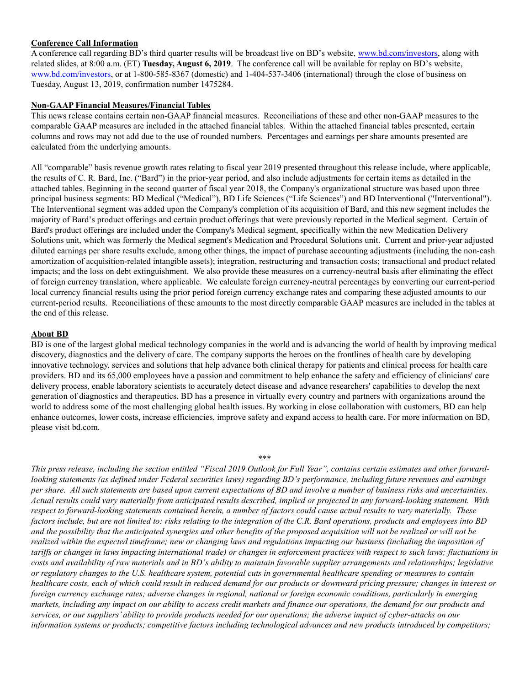#### Conference Call Information

A conference call regarding BD's third quarter results will be broadcast live on BD's website, www.bd.com/investors, along with related slides, at 8:00 a.m. (ET) Tuesday, August 6, 2019. The conference call will be available for replay on BD's website, www.bd.com/investors, or at 1-800-585-8367 (domestic) and 1-404-537-3406 (international) through the close of business on Tuesday, August 13, 2019, confirmation number 1475284.

#### Non-GAAP Financial Measures/Financial Tables

This news release contains certain non-GAAP financial measures. Reconciliations of these and other non-GAAP measures to the comparable GAAP measures are included in the attached financial tables. Within the attached financial tables presented, certain columns and rows may not add due to the use of rounded numbers. Percentages and earnings per share amounts presented are calculated from the underlying amounts.

All "comparable" basis revenue growth rates relating to fiscal year 2019 presented throughout this release include, where applicable, the results of C. R. Bard, Inc. ("Bard") in the prior-year period, and also include adjustments for certain items as detailed in the attached tables. Beginning in the second quarter of fiscal year 2018, the Company's organizational structure was based upon three principal business segments: BD Medical ("Medical"), BD Life Sciences ("Life Sciences") and BD Interventional ("Interventional"). The Interventional segment was added upon the Company's completion of its acquisition of Bard, and this new segment includes the majority of Bard's product offerings and certain product offerings that were previously reported in the Medical segment. Certain of Bard's product offerings are included under the Company's Medical segment, specifically within the new Medication Delivery Solutions unit, which was formerly the Medical segment's Medication and Procedural Solutions unit. Current and prior-year adjusted diluted earnings per share results exclude, among other things, the impact of purchase accounting adjustments (including the non-cash amortization of acquisition-related intangible assets); integration, restructuring and transaction costs; transactional and product related impacts; and the loss on debt extinguishment. We also provide these measures on a currency-neutral basis after eliminating the effect of foreign currency translation, where applicable. We calculate foreign currency-neutral percentages by converting our current-period local currency financial results using the prior period foreign currency exchange rates and comparing these adjusted amounts to our current-period results. Reconciliations of these amounts to the most directly comparable GAAP measures are included in the tables at the end of this release.

#### About BD

BD is one of the largest global medical technology companies in the world and is advancing the world of health by improving medical discovery, diagnostics and the delivery of care. The company supports the heroes on the frontlines of health care by developing innovative technology, services and solutions that help advance both clinical therapy for patients and clinical process for health care providers. BD and its 65,000 employees have a passion and commitment to help enhance the safety and efficiency of clinicians' care delivery process, enable laboratory scientists to accurately detect disease and advance researchers' capabilities to develop the next generation of diagnostics and therapeutics. BD has a presence in virtually every country and partners with organizations around the world to address some of the most challenging global health issues. By working in close collaboration with customers, BD can help enhance outcomes, lower costs, increase efficiencies, improve safety and expand access to health care. For more information on BD, please visit bd.com.

#### \*\*\*

This press release, including the section entitled "Fiscal 2019 Outlook for Full Year", contains certain estimates and other forwardlooking statements (as defined under Federal securities laws) regarding BD's performance, including future revenues and earnings per share. All such statements are based upon current expectations of BD and involve a number of business risks and uncertainties. Actual results could vary materially from anticipated results described, implied or projected in any forward-looking statement. With respect to forward-looking statements contained herein, a number of factors could cause actual results to vary materially. These factors include, but are not limited to: risks relating to the integration of the C.R. Bard operations, products and employees into BD and the possibility that the anticipated synergies and other benefits of the proposed acquisition will not be realized or will not be realized within the expected timeframe; new or changing laws and regulations impacting our business (including the imposition of tariffs or changes in laws impacting international trade) or changes in enforcement practices with respect to such laws; fluctuations in costs and availability of raw materials and in BD's ability to maintain favorable supplier arrangements and relationships; legislative or regulatory changes to the U.S. healthcare system, potential cuts in governmental healthcare spending or measures to contain healthcare costs, each of which could result in reduced demand for our products or downward pricing pressure; changes in interest or foreign currency exchange rates; adverse changes in regional, national or foreign economic conditions, particularly in emerging markets, including any impact on our ability to access credit markets and finance our operations, the demand for our products and services, or our suppliers' ability to provide products needed for our operations; the adverse impact of cyber-attacks on our information systems or products; competitive factors including technological advances and new products introduced by competitors;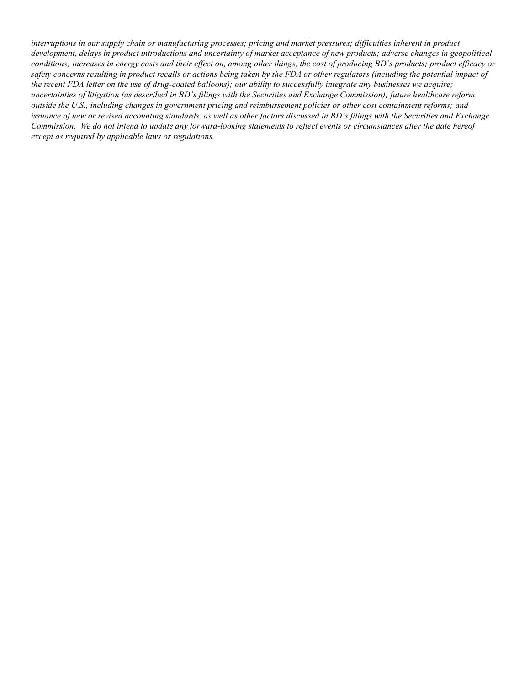interruptions in our supply chain or manufacturing processes; pricing and market pressures; difficulties inherent in product development, delays in product introductions and uncertainty of market acceptance of new products; adverse changes in geopolitical conditions; increases in energy costs and their effect on, among other things, the cost of producing BD's products; product efficacy or safety concerns resulting in product recalls or actions being taken by the FDA or other regulators (including the potential impact of the recent FDA letter on the use of drug-coated balloons); our ability to successfully integrate any businesses we acquire; uncertainties of litigation (as described in BD's filings with the Securities and Exchange Commission); future healthcare reform outside the U.S., including changes in government pricing and reimbursement policies or other cost containment reforms; and issuance of new or revised accounting standards, as well as other factors discussed in BD's filings with the Securities and Exchange Commission. We do not intend to update any forward-looking statements to reflect events or circumstances after the date hereof except as required by applicable laws or regulations.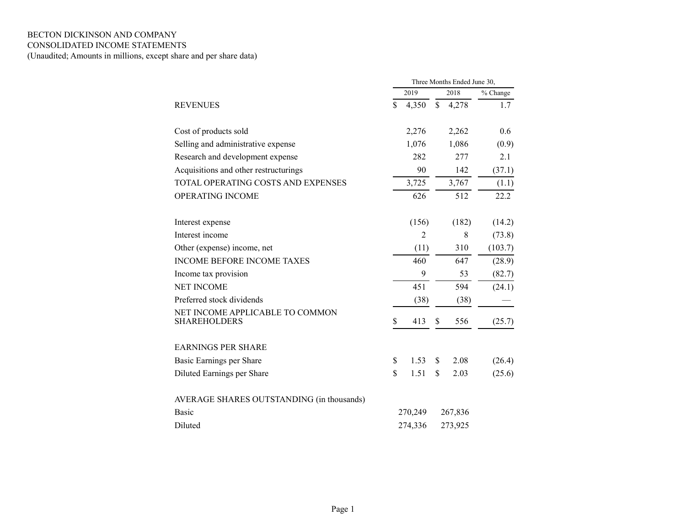## BECTON DICKINSON AND COMPANY CONSOLIDATED INCOME STATEMENTS

(Unaudited; Amounts in millions, except share and per share data)

|                                                        |             |               | Three Months Ended June 30, |          |
|--------------------------------------------------------|-------------|---------------|-----------------------------|----------|
|                                                        | 2019        |               | 2018                        | % Change |
| <b>REVENUES</b>                                        | \$<br>4,350 | $\mathcal{S}$ | 4,278                       | 1.7      |
| Cost of products sold                                  | 2,276       |               | 2,262                       | 0.6      |
| Selling and administrative expense                     | 1,076       |               | 1,086                       | (0.9)    |
| Research and development expense                       | 282         |               | 277                         | 2.1      |
| Acquisitions and other restructurings                  | 90          |               | 142                         | (37.1)   |
| TOTAL OPERATING COSTS AND EXPENSES                     | 3,725       |               | 3,767                       | (1.1)    |
| OPERATING INCOME                                       | 626         |               | 512                         | 22.2     |
| Interest expense                                       | (156)       |               | (182)                       | (14.2)   |
| Interest income                                        | 2           |               | 8                           | (73.8)   |
| Other (expense) income, net                            | (11)        |               | 310                         | (103.7)  |
| <b>INCOME BEFORE INCOME TAXES</b>                      | 460         |               | 647                         | (28.9)   |
| Income tax provision                                   | 9           |               | 53                          | (82.7)   |
| <b>NET INCOME</b>                                      | 451         |               | 594                         | (24.1)   |
| Preferred stock dividends                              | (38)        |               | (38)                        |          |
| NET INCOME APPLICABLE TO COMMON<br><b>SHAREHOLDERS</b> | \$<br>413   | \$            | 556                         | (25.7)   |
| <b>EARNINGS PER SHARE</b>                              |             |               |                             |          |
| Basic Earnings per Share                               | \$<br>1.53  | \$            | 2.08                        | (26.4)   |
| Diluted Earnings per Share                             | \$<br>1.51  | \$            | 2.03                        | (25.6)   |
| AVERAGE SHARES OUTSTANDING (in thousands)              |             |               |                             |          |
| <b>Basic</b>                                           | 270,249     |               | 267,836                     |          |
| Diluted                                                | 274,336     |               | 273,925                     |          |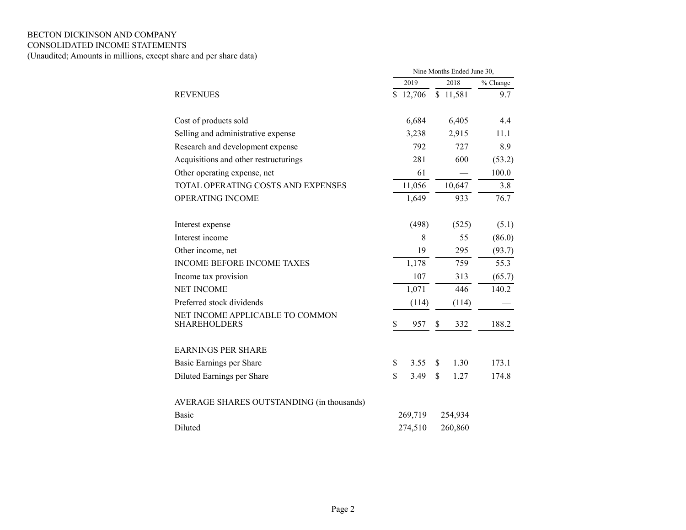# BECTON DICKINSON AND COMPANY

### CONSOLIDATED INCOME STATEMENTS

(Unaudited; Amounts in millions, except share and per share data)

|                                                        |     |         | Nine Months Ended June 30, |          |
|--------------------------------------------------------|-----|---------|----------------------------|----------|
|                                                        |     | 2019    | 2018                       | % Change |
| <b>REVENUES</b>                                        | \$. | 12,706  | \$11,581                   | 9.7      |
| Cost of products sold                                  |     | 6,684   | 6,405                      | 4.4      |
| Selling and administrative expense                     |     | 3,238   | 2,915                      | 11.1     |
| Research and development expense                       |     | 792     | 727                        | 8.9      |
| Acquisitions and other restructurings                  |     | 281     | 600                        | (53.2)   |
| Other operating expense, net                           |     | 61      |                            | 100.0    |
| TOTAL OPERATING COSTS AND EXPENSES                     |     | 11,056  | 10,647                     | 3.8      |
| OPERATING INCOME                                       |     | 1,649   | 933                        | 76.7     |
| Interest expense                                       |     | (498)   | (525)                      | (5.1)    |
| Interest income                                        |     | 8       | 55                         | (86.0)   |
| Other income, net                                      |     | 19      | 295                        | (93.7)   |
| <b>INCOME BEFORE INCOME TAXES</b>                      |     | 1,178   | 759                        | 55.3     |
| Income tax provision                                   |     | 107     | 313                        | (65.7)   |
| <b>NET INCOME</b>                                      |     | 1,071   | 446                        | 140.2    |
| Preferred stock dividends                              |     | (114)   | (114)                      |          |
| NET INCOME APPLICABLE TO COMMON<br><b>SHAREHOLDERS</b> | \$  | 957     | \$<br>332                  | 188.2    |
| <b>EARNINGS PER SHARE</b>                              |     |         |                            |          |
| Basic Earnings per Share                               | \$  | 3.55    | \$<br>1.30                 | 173.1    |
| Diluted Earnings per Share                             | \$  | 3.49    | \$<br>1.27                 | 174.8    |
| AVERAGE SHARES OUTSTANDING (in thousands)              |     |         |                            |          |
| <b>Basic</b>                                           |     | 269,719 | 254,934                    |          |
| Diluted                                                |     | 274,510 | 260,860                    |          |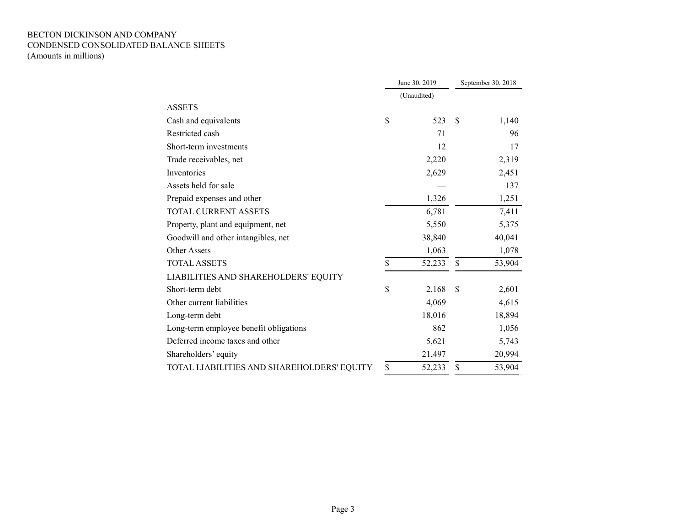### BECTON DICKINSON AND COMPANY CONDENSED CONSOLIDATED BALANCE SHEETS (Amounts in millions)

|                                            | June 30, 2019 | September 30, 2018 |        |  |
|--------------------------------------------|---------------|--------------------|--------|--|
|                                            | (Unaudited)   |                    |        |  |
| <b>ASSETS</b>                              |               |                    |        |  |
| Cash and equivalents                       | \$<br>523     | \$                 | 1,140  |  |
| Restricted cash                            | 71            |                    | 96     |  |
| Short-term investments                     | 12            |                    | 17     |  |
| Trade receivables, net                     | 2,220         |                    | 2,319  |  |
| Inventories                                | 2,629         |                    | 2,451  |  |
| Assets held for sale                       |               |                    | 137    |  |
| Prepaid expenses and other                 | 1,326         |                    | 1,251  |  |
| <b>TOTAL CURRENT ASSETS</b>                | 6,781         |                    | 7,411  |  |
| Property, plant and equipment, net         | 5,550         |                    | 5,375  |  |
| Goodwill and other intangibles, net        | 38,840        |                    | 40,041 |  |
| Other Assets                               | 1,063         |                    | 1,078  |  |
| <b>TOTAL ASSETS</b>                        | \$<br>52,233  | \$                 | 53,904 |  |
| LIABILITIES AND SHAREHOLDERS' EQUITY       |               |                    |        |  |
| Short-term debt                            | \$<br>2,168   | \$                 | 2,601  |  |
| Other current liabilities                  | 4,069         |                    | 4,615  |  |
| Long-term debt                             | 18,016        |                    | 18,894 |  |
| Long-term employee benefit obligations     | 862           |                    | 1,056  |  |
| Deferred income taxes and other            | 5,621         |                    | 5,743  |  |
| Shareholders' equity                       | 21,497        |                    | 20,994 |  |
| TOTAL LIABILITIES AND SHAREHOLDERS' EQUITY | \$<br>52,233  | \$                 | 53,904 |  |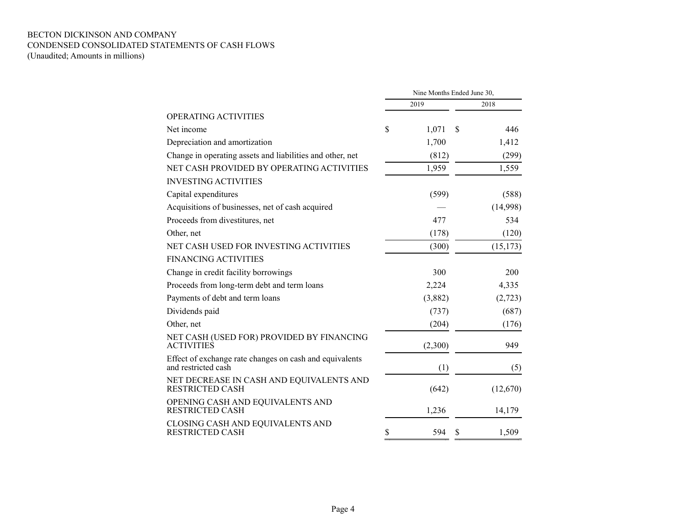### BECTON DICKINSON AND COMPANY CONDENSED CONSOLIDATED STATEMENTS OF CASH FLOWS (Unaudited; Amounts in millions)

|                                                                                | Nine Months Ended June 30, |         |    |           |  |  |  |  |  |
|--------------------------------------------------------------------------------|----------------------------|---------|----|-----------|--|--|--|--|--|
|                                                                                |                            | 2019    |    | 2018      |  |  |  |  |  |
| <b>OPERATING ACTIVITIES</b>                                                    |                            |         |    |           |  |  |  |  |  |
| Net income                                                                     | \$                         | 1,071   | \$ | 446       |  |  |  |  |  |
| Depreciation and amortization                                                  |                            | 1,700   |    | 1,412     |  |  |  |  |  |
| Change in operating assets and liabilities and other, net                      |                            | (812)   |    | (299)     |  |  |  |  |  |
| NET CASH PROVIDED BY OPERATING ACTIVITIES                                      |                            | 1,959   |    | 1,559     |  |  |  |  |  |
| <b>INVESTING ACTIVITIES</b>                                                    |                            |         |    |           |  |  |  |  |  |
| Capital expenditures                                                           |                            | (599)   |    | (588)     |  |  |  |  |  |
| Acquisitions of businesses, net of cash acquired                               |                            |         |    | (14,998)  |  |  |  |  |  |
| Proceeds from divestitures, net                                                |                            | 477     |    | 534       |  |  |  |  |  |
| Other, net                                                                     |                            | (178)   |    | (120)     |  |  |  |  |  |
| NET CASH USED FOR INVESTING ACTIVITIES                                         |                            | (300)   |    | (15, 173) |  |  |  |  |  |
| <b>FINANCING ACTIVITIES</b>                                                    |                            |         |    |           |  |  |  |  |  |
| Change in credit facility borrowings                                           |                            | 300     |    | 200       |  |  |  |  |  |
| Proceeds from long-term debt and term loans                                    |                            | 2,224   |    | 4,335     |  |  |  |  |  |
| Payments of debt and term loans                                                |                            | (3,882) |    | (2,723)   |  |  |  |  |  |
| Dividends paid                                                                 |                            | (737)   |    | (687)     |  |  |  |  |  |
| Other, net                                                                     |                            | (204)   |    | (176)     |  |  |  |  |  |
| NET CASH (USED FOR) PROVIDED BY FINANCING<br><b>ACTIVITIES</b>                 |                            | (2,300) |    | 949       |  |  |  |  |  |
| Effect of exchange rate changes on cash and equivalents<br>and restricted cash |                            | (1)     |    | (5)       |  |  |  |  |  |
| NET DECREASE IN CASH AND EQUIVALENTS AND<br><b>RESTRICTED CASH</b>             |                            | (642)   |    | (12,670)  |  |  |  |  |  |
| OPENING CASH AND EQUIVALENTS AND<br><b>RESTRICTED CASH</b>                     |                            | 1,236   |    | 14,179    |  |  |  |  |  |
| CLOSING CASH AND EQUIVALENTS AND<br><b>RESTRICTED CASH</b>                     | \$                         | 594     | \$ | 1,509     |  |  |  |  |  |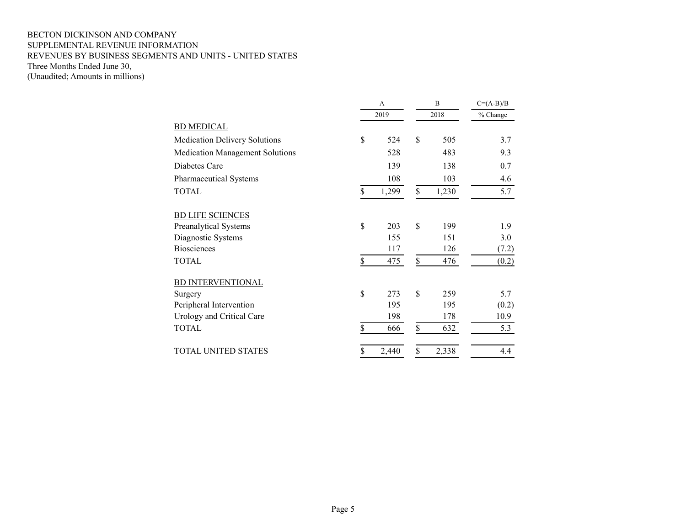#### BECTON DICKINSON AND COMPANY SUPPLEMENTAL REVENUE INFORMATION REVENUES BY BUSINESS SEGMENTS AND UNITS - UNITED STATES Three Months Ended June 30, (Unaudited; Amounts in millions)

|                                        | А           | B           | $C=(A-B)/B$ |
|----------------------------------------|-------------|-------------|-------------|
|                                        | 2019        | 2018        | % Change    |
| <b>BD MEDICAL</b>                      |             |             |             |
| <b>Medication Delivery Solutions</b>   | \$<br>524   | \$<br>505   | 3.7         |
| <b>Medication Management Solutions</b> | 528         | 483         | 9.3         |
| Diabetes Care                          | 139         | 138         | 0.7         |
| Pharmaceutical Systems                 | 108         | 103         | 4.6         |
| <b>TOTAL</b>                           | \$<br>1,299 | \$<br>1,230 | 5.7         |
| <b>BD LIFE SCIENCES</b>                |             |             |             |
| Preanalytical Systems                  | \$<br>203   | \$<br>199   | 1.9         |
| Diagnostic Systems                     | 155         | 151         | 3.0         |
| <b>Biosciences</b>                     | 117         | 126         | (7.2)       |
| <b>TOTAL</b>                           | \$<br>475   | \$<br>476   | (0.2)       |
| <b>BD INTERVENTIONAL</b>               |             |             |             |
| Surgery                                | \$<br>273   | \$<br>259   | 5.7         |
| Peripheral Intervention                | 195         | 195         | (0.2)       |
| Urology and Critical Care              | 198         | 178         | 10.9        |
| <b>TOTAL</b>                           | \$<br>666   | \$<br>632   | 5.3         |
| <b>TOTAL UNITED STATES</b>             | \$<br>2,440 | \$<br>2,338 | 4.4         |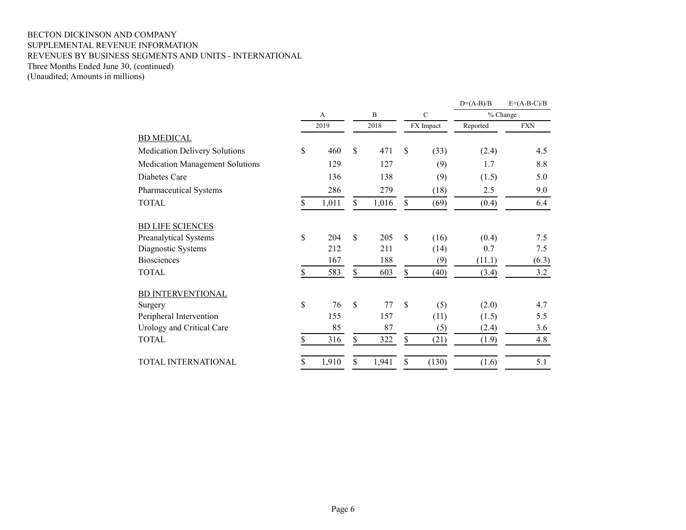#### BECTON DICKINSON AND COMPANY SUPPLEMENTAL REVENUE INFORMATION REVENUES BY BUSINESS SEGMENTS AND UNITS - INTERNATIONAL Three Months Ended June 30, (continued) (Unaudited; Amounts in millions)

|                                        |    |       |              |       |              |             | $D=(A-B)/B$ | $E=(A-B-C)/B$ |
|----------------------------------------|----|-------|--------------|-------|--------------|-------------|-------------|---------------|
|                                        |    | A     |              | B     |              | $\mathbf C$ |             | % Change      |
|                                        |    | 2019  |              | 2018  |              | FX Impact   | Reported    | <b>FXN</b>    |
| <b>BD MEDICAL</b>                      |    |       |              |       |              |             |             |               |
| <b>Medication Delivery Solutions</b>   | \$ | 460   | \$           | 471   | \$           | (33)        | (2.4)       | 4.5           |
| <b>Medication Management Solutions</b> |    | 129   |              | 127   |              | (9)         | 1.7         | 8.8           |
| Diabetes Care                          |    | 136   |              | 138   |              | (9)         | (1.5)       | 5.0           |
| Pharmaceutical Systems                 |    | 286   |              | 279   |              | (18)        | 2.5         | 9.0           |
| <b>TOTAL</b>                           | \$ | 1,011 | \$           | 1,016 | \$           | (69)        | (0.4)       | 6.4           |
| <b>BD LIFE SCIENCES</b>                |    |       |              |       |              |             |             |               |
| Preanalytical Systems                  | \$ | 204   | \$           | 205   | $\mathbb{S}$ | (16)        | (0.4)       | 7.5           |
| Diagnostic Systems                     |    | 212   |              | 211   |              | (14)        | 0.7         | 7.5           |
| <b>Biosciences</b>                     |    | 167   |              | 188   |              | (9)         | (11.1)      | (6.3)         |
| <b>TOTAL</b>                           | S  | 583   | \$           | 603   | \$           | (40)        | (3.4)       | 3.2           |
| <b>BD INTERVENTIONAL</b>               |    |       |              |       |              |             |             |               |
| Surgery                                | \$ | 76    | $\mathbb{S}$ | 77    | \$           | (5)         | (2.0)       | 4.7           |
| Peripheral Intervention                |    | 155   |              | 157   |              | (11)        | (1.5)       | 5.5           |
| Urology and Critical Care              |    | 85    |              | 87    |              | (5)         | (2.4)       | 3.6           |
| <b>TOTAL</b>                           | \$ | 316   | \$           | 322   | \$           | (21)        | (1.9)       | 4.8           |
| TOTAL INTERNATIONAL                    | S  | 1,910 | \$           | 1,941 | \$           | (130)       | (1.6)       | 5.1           |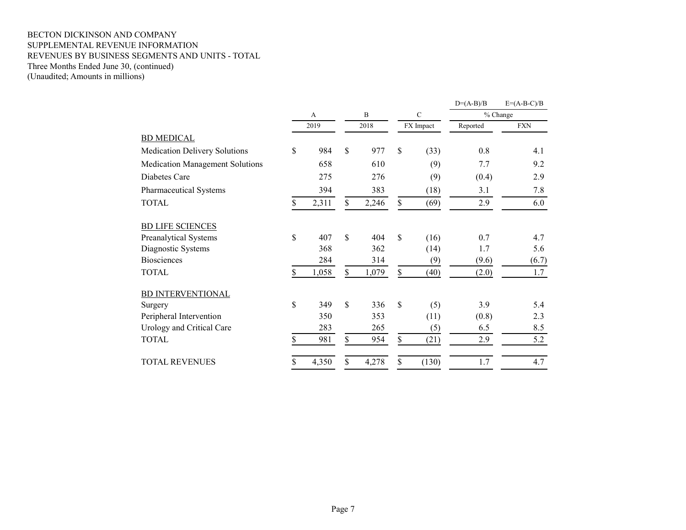#### BECTON DICKINSON AND COMPANY SUPPLEMENTAL REVENUE INFORMATION REVENUES BY BUSINESS SEGMENTS AND UNITS - TOTAL Three Months Ended June 30, (continued) (Unaudited; Amounts in millions)

|                                        |             |               |       |               |           | $D=(A-B)/B$ | $E=(A-B-C)/B$ |
|----------------------------------------|-------------|---------------|-------|---------------|-----------|-------------|---------------|
|                                        | A           |               | B     | $\mathcal{C}$ |           |             | % Change      |
|                                        | 2019        |               | 2018  |               | FX Impact | Reported    | <b>FXN</b>    |
| <b>BD MEDICAL</b>                      |             |               |       |               |           |             |               |
| <b>Medication Delivery Solutions</b>   | \$<br>984   | \$            | 977   | \$            | (33)      | 0.8         | 4.1           |
| <b>Medication Management Solutions</b> | 658         |               | 610   |               | (9)       | 7.7         | 9.2           |
| Diabetes Care                          | 275         |               | 276   |               | (9)       | (0.4)       | 2.9           |
| Pharmaceutical Systems                 | 394         |               | 383   |               | (18)      | 3.1         | 7.8           |
| <b>TOTAL</b>                           | \$<br>2,311 | \$            | 2,246 | \$            | (69)      | 2.9         | 6.0           |
| <b>BD LIFE SCIENCES</b>                |             |               |       |               |           |             |               |
| Preanalytical Systems                  | \$<br>407   | $\mathcal{S}$ | 404   | \$            | (16)      | 0.7         | 4.7           |
| Diagnostic Systems                     | 368         |               | 362   |               | (14)      | 1.7         | 5.6           |
| <b>Biosciences</b>                     | 284         |               | 314   |               | (9)       | (9.6)       | (6.7)         |
| <b>TOTAL</b>                           | \$<br>1,058 | \$            | 1,079 | \$            | (40)      | (2.0)       | 1.7           |
| BD INTERVENTIONAL                      |             |               |       |               |           |             |               |
| Surgery                                | \$<br>349   | $\mathbf S$   | 336   | \$            | (5)       | 3.9         | 5.4           |
| Peripheral Intervention                | 350         |               | 353   |               | (11)      | (0.8)       | 2.3           |
| Urology and Critical Care              | 283         |               | 265   |               | (5)       | 6.5         | 8.5           |
| <b>TOTAL</b>                           | \$<br>981   | \$            | 954   | \$            | (21)      | 2.9         | 5.2           |
| <b>TOTAL REVENUES</b>                  | 4,350       | \$            | 4,278 | \$            | (130)     | 1.7         | 4.7           |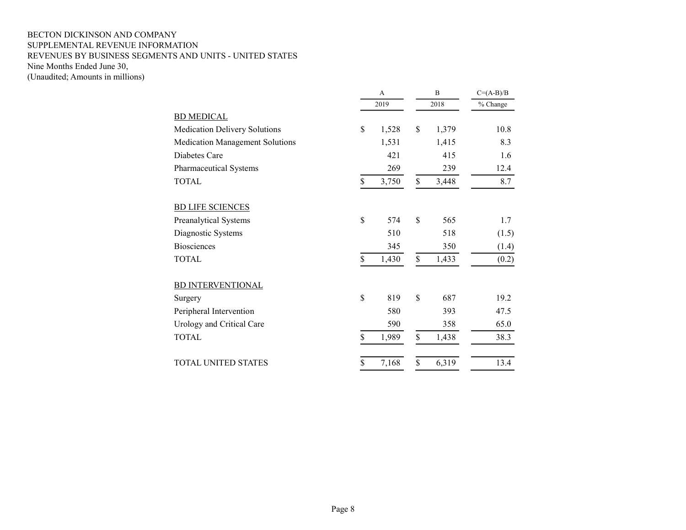### BECTON DICKINSON AND COMPANY SUPPLEMENTAL REVENUE INFORMATION REVENUES BY BUSINESS SEGMENTS AND UNITS - UNITED STATES Nine Months Ended June 30, (Unaudited; Amounts in millions)

|                                      | A           | B           | $C=(A-B)/B$ |
|--------------------------------------|-------------|-------------|-------------|
|                                      | 2019        | 2018        | % Change    |
| <b>BD MEDICAL</b>                    |             |             |             |
| <b>Medication Delivery Solutions</b> | \$<br>1,528 | \$<br>1,379 | 10.8        |
| Medication Management Solutions      | 1,531       | 1,415       | 8.3         |
| Diabetes Care                        | 421         | 415         | 1.6         |
| Pharmaceutical Systems               | 269         | 239         | 12.4        |
| <b>TOTAL</b>                         | \$<br>3,750 | \$<br>3,448 | 8.7         |
| <b>BD LIFE SCIENCES</b>              |             |             |             |
| Preanalytical Systems                | \$<br>574   | \$<br>565   | 1.7         |
| Diagnostic Systems                   | 510         | 518         | (1.5)       |
| <b>Biosciences</b>                   | 345         | 350         | (1.4)       |
| <b>TOTAL</b>                         | \$<br>1,430 | \$<br>1,433 | (0.2)       |
| <b>BD INTERVENTIONAL</b>             |             |             |             |
| Surgery                              | \$<br>819   | \$<br>687   | 19.2        |
| Peripheral Intervention              | 580         | 393         | 47.5        |
| Urology and Critical Care            | 590         | 358         | 65.0        |
| <b>TOTAL</b>                         | \$<br>1,989 | \$<br>1,438 | 38.3        |
| TOTAL UNITED STATES                  | \$<br>7,168 | \$<br>6,319 | 13.4        |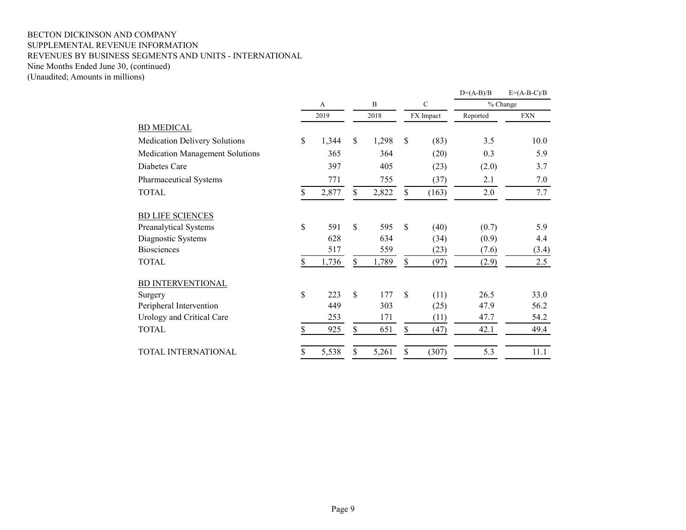#### BECTON DICKINSON AND COMPANY SUPPLEMENTAL REVENUE INFORMATION REVENUES BY BUSINESS SEGMENTS AND UNITS - INTERNATIONAL Nine Months Ended June 30, (continued) (Unaudited; Amounts in millions)

 $D=(A-B)/B$   $E=(A-B-C)/B$ A B C % Change 2019 2018 FX Impact Reported FXN BD MEDICAL Medication Delivery Solutions  $\begin{array}{cccc} \text{$} & 1,344 & \text{$} & 1,298 & \text{$} & (83) & 3.5 & 10.0 \end{array}$ Medication Management Solutions 365 364 (20) 0.3 5.9 Diabetes Care 397 405 (23) (2.0) 3.7 Pharmaceutical Systems 771 755 (37) 2.1 7.0 TOTAL 5 2,877 \$ 2,822 \$ (163) 2.0 7.7 BD LIFE SCIENCES Preanalytical Systems  $\qquad$  \$ 591 \$ 595 \$ (40) (0.7) 5.9 Diagnostic Systems 628 634 (34) (0.9) 4.4 Biosciences 517 559 (23) (7.6) (3.4) TOTAL 5 1,736 \$ 1,789 \$ (97) (2.9) 2.5 BD INTERVENTIONAL Surgery 33.0 Peripheral Intervention 449 303 (25) 47.9 56.2 Urology and Critical Care 253 171 (11) 47.7 54.2 TOTAL 65 925 \$ 651 \$ (47) 42.1 49.4 TOTAL INTERNATIONAL  $\overline{\$}$  5,538  $\overline{\$}$  5,261  $\overline{\$}$  (307) 5.3 11.1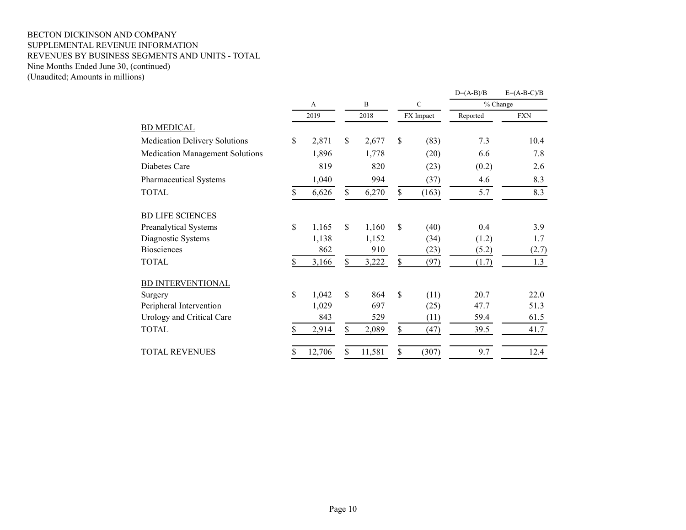### BECTON DICKINSON AND COMPANY SUPPLEMENTAL REVENUE INFORMATION REVENUES BY BUSINESS SEGMENTS AND UNITS - TOTAL Nine Months Ended June 30, (continued) (Unaudited; Amounts in millions)

|                                        |    |        |              |               |              | $D=(A-B)/B$ | $E=(A-B-C)/B$ |
|----------------------------------------|----|--------|--------------|---------------|--------------|-------------|---------------|
|                                        |    | A      | B            |               | $\mathsf{C}$ |             | % Change      |
|                                        |    | 2019   | 2018         |               | FX Impact    | Reported    | <b>FXN</b>    |
| <b>BD MEDICAL</b>                      |    |        |              |               |              |             |               |
| <b>Medication Delivery Solutions</b>   | \$ | 2,871  | \$<br>2,677  | \$            | (83)         | 7.3         | 10.4          |
| <b>Medication Management Solutions</b> |    | 1,896  | 1,778        |               | (20)         | 6.6         | 7.8           |
| Diabetes Care                          |    | 819    | 820          |               | (23)         | (0.2)       | 2.6           |
| Pharmaceutical Systems                 |    | 1,040  | 994          |               | (37)         | 4.6         | 8.3           |
| <b>TOTAL</b>                           | \$ | 6,626  | \$<br>6,270  | \$            | (163)        | 5.7         | 8.3           |
| <b>BD LIFE SCIENCES</b>                |    |        |              |               |              |             |               |
| Preanalytical Systems                  | \$ | 1,165  | \$<br>1,160  | $\mathcal{S}$ | (40)         | 0.4         | 3.9           |
| Diagnostic Systems                     |    | 1,138  | 1,152        |               | (34)         | (1.2)       | 1.7           |
| <b>Biosciences</b>                     |    | 862    | 910          |               | (23)         | (5.2)       | (2.7)         |
| <b>TOTAL</b>                           |    | 3,166  | \$<br>3,222  | \$            | (97)         | (1.7)       | 1.3           |
| BD INTERVENTIONAL                      |    |        |              |               |              |             |               |
| Surgery                                | \$ | 1,042  | \$<br>864    | $\mathbb{S}$  | (11)         | 20.7        | 22.0          |
| Peripheral Intervention                |    | 1,029  | 697          |               | (25)         | 47.7        | 51.3          |
| Urology and Critical Care              |    | 843    | 529          |               | (11)         | 59.4        | 61.5          |
| <b>TOTAL</b>                           | \$ | 2,914  | \$<br>2,089  | \$            | (47)         | 39.5        | 41.7          |
| <b>TOTAL REVENUES</b>                  | S  | 12,706 | \$<br>11,581 | \$            | (307)        | 9.7         | 12.4          |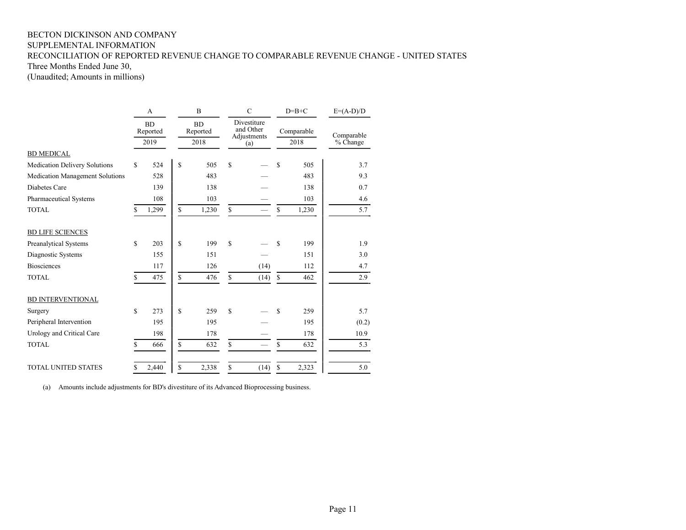## BECTON DICKINSON AND COMPANY SUPPLEMENTAL INFORMATION RECONCILIATION OF REPORTED REVENUE CHANGE TO COMPARABLE REVENUE CHANGE - UNITED STATES

Three Months Ended June 30,

(Unaudited; Amounts in millions)

|                                        |                               | A     | $\overline{B}$        |       |    | $\mathbf C$                             |            | $D=B+C$ | $E=(A-D)/D$ |
|----------------------------------------|-------------------------------|-------|-----------------------|-------|----|-----------------------------------------|------------|---------|-------------|
|                                        | <b>BD</b><br>Reported<br>2019 |       | <b>BD</b><br>Reported |       |    | Divestiture<br>and Other<br>Adjustments | Comparable |         | Comparable  |
|                                        |                               |       |                       | 2018  |    | (a)                                     |            | 2018    | % Change    |
| <b>BD MEDICAL</b>                      |                               |       |                       |       |    |                                         |            |         |             |
| Medication Delivery Solutions          | \$                            | 524   | \$                    | 505   | \$ |                                         | \$         | 505     | 3.7         |
| <b>Medication Management Solutions</b> |                               | 528   |                       | 483   |    |                                         |            | 483     | 9.3         |
| Diabetes Care                          |                               | 139   |                       | 138   |    |                                         |            | 138     | 0.7         |
| Pharmaceutical Systems                 |                               | 108   |                       | 103   |    |                                         |            | 103     | 4.6         |
| <b>TOTAL</b>                           | \$                            | 1,299 | \$                    | 1,230 | \$ |                                         | \$         | 1,230   | 5.7         |
| <b>BD LIFE SCIENCES</b>                |                               |       |                       |       |    |                                         |            |         |             |
| Preanalytical Systems                  | \$                            | 203   | \$                    | 199   | \$ |                                         | \$         | 199     | 1.9         |
| Diagnostic Systems                     |                               | 155   |                       | 151   |    |                                         |            | 151     | 3.0         |
| <b>Biosciences</b>                     |                               | 117   |                       | 126   |    | (14)                                    |            | 112     | 4.7         |
| <b>TOTAL</b>                           | \$                            | 475   | \$                    | 476   | \$ | (14)                                    | \$         | 462     | 2.9         |
| <b>BD INTERVENTIONAL</b>               |                               |       |                       |       |    |                                         |            |         |             |
| Surgery                                | S                             | 273   | \$                    | 259   | S  |                                         | S          | 259     | 5.7         |
| Peripheral Intervention                |                               | 195   |                       | 195   |    |                                         |            | 195     | (0.2)       |
| Urology and Critical Care              |                               | 198   |                       | 178   |    |                                         |            | 178     | 10.9        |
| <b>TOTAL</b>                           | \$                            | 666   | \$                    | 632   | \$ |                                         | \$         | 632     | 5.3         |
| <b>TOTAL UNITED STATES</b>             | S                             | 2,440 | S                     | 2,338 | \$ | (14)                                    | \$         | 2,323   | 5.0         |

(a) Amounts include adjustments for BD's divestiture of its Advanced Bioprocessing business.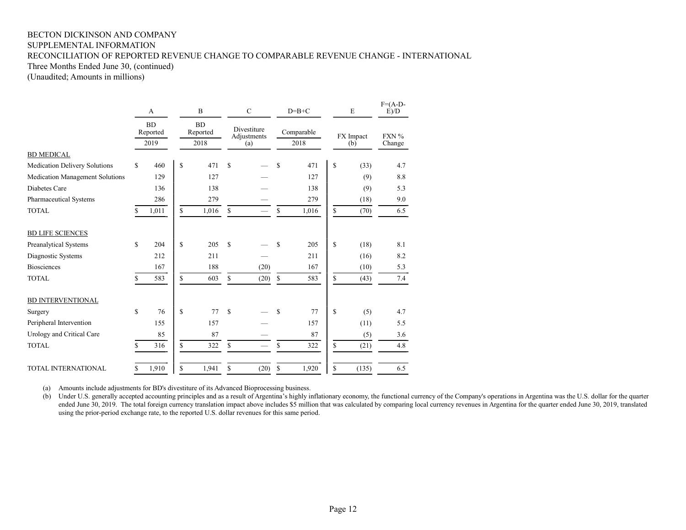## BECTON DICKINSON AND COMPANY SUPPLEMENTAL INFORMATION RECONCILIATION OF REPORTED REVENUE CHANGE TO COMPARABLE REVENUE CHANGE - INTERNATIONAL

Three Months Ended June 30, (continued)

(Unaudited; Amounts in millions)

|                                        |              | A<br><b>BD</b><br>Reported |             | B     |               | $\mathbf C$                   |              | $D=B+C$                    | E            |            | $F=(A-D-$<br>E/D |
|----------------------------------------|--------------|----------------------------|-------------|-------|---------------|-------------------------------|--------------|----------------------------|--------------|------------|------------------|
|                                        |              |                            |             |       |               | <b>BD</b><br>Reported         |              | Divestiture<br>Adjustments |              | Comparable |                  |
|                                        |              | 2019                       |             | 2018  |               | (a)                           |              | 2018                       |              | (b)        | Change           |
| <b>BD MEDICAL</b>                      |              |                            |             |       |               |                               |              |                            |              |            |                  |
| <b>Medication Delivery Solutions</b>   | $\mathbb{S}$ | 460                        | \$          | 471   | \$            |                               | \$           | 471                        | \$           | (33)       | 4.7              |
| <b>Medication Management Solutions</b> |              | 129                        |             | 127   |               |                               |              | 127                        |              | (9)        | 8.8              |
| Diabetes Care                          |              | 136                        |             | 138   |               |                               |              | 138                        |              | (9)        | 5.3              |
| Pharmaceutical Systems                 |              | 286                        |             | 279   |               |                               |              | 279                        |              | (18)       | 9.0              |
| <b>TOTAL</b>                           | S            | 1,011                      | \$          | 1,016 | \$            |                               | \$           | 1,016                      | \$           | (70)       | 6.5              |
| <b>BD LIFE SCIENCES</b>                |              |                            |             |       |               |                               |              |                            |              |            |                  |
| Preanalytical Systems                  | $\mathbf S$  | 204                        | $\mathbf S$ | 205   | $\mathbb{S}$  |                               | \$           | 205                        | \$           | (18)       | 8.1              |
| Diagnostic Systems                     |              | 212                        |             | 211   |               |                               |              | 211                        |              | (16)       | 8.2              |
| <b>Biosciences</b>                     |              | 167                        |             | 188   |               | (20)                          |              | 167                        |              | (10)       | 5.3              |
| <b>TOTAL</b>                           | S.           | 583                        | \$          | 603   | \$            | (20)                          | $\mathbb{S}$ | 583                        | \$           | (43)       | 7.4              |
| <b>BD INTERVENTIONAL</b>               |              |                            |             |       |               |                               |              |                            |              |            |                  |
| Surgery                                | $\mathbf S$  | 76                         | \$          | 77    | <sup>\$</sup> |                               | \$           | 77                         | $\mathbb{S}$ | (5)        | 4.7              |
| Peripheral Intervention                |              | 155                        |             | 157   |               |                               |              | 157                        |              | (11)       | 5.5              |
| Urology and Critical Care              |              | 85                         |             | 87    |               |                               |              | 87                         |              | (5)        | 3.6              |
| <b>TOTAL</b>                           | \$           | 316                        | \$          | 322   | \$            | $\overbrace{\phantom{12333}}$ | \$           | 322                        | \$           | (21)       | 4.8              |
| <b>TOTAL INTERNATIONAL</b>             | \$           | 1,910                      | \$          | 1,941 | \$            | (20)                          | \$           | 1,920                      | \$           | (135)      | 6.5              |

(a) Amounts include adjustments for BD's divestiture of its Advanced Bioprocessing business.

(b) Under U.S. generally accepted accounting principles and as a result of Argentina's highly inflationary economy, the functional currency of the Company's operations in Argentina was the U.S. dollar for the quarter ended June 30, 2019. The total foreign currency translation impact above includes \$5 million that was calculated by comparing local currency revenues in Argentina for the quarter ended June 30, 2019, translated using the prior-period exchange rate, to the reported U.S. dollar revenues for this same period.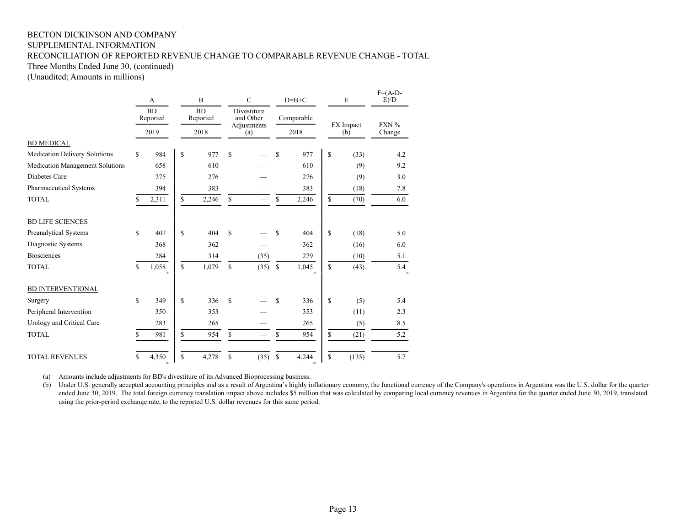## BECTON DICKINSON AND COMPANY SUPPLEMENTAL INFORMATION RECONCILIATION OF REPORTED REVENUE CHANGE TO COMPARABLE REVENUE CHANGE - TOTAL

Three Months Ended June 30, (continued)

(Unaudited; Amounts in millions)

|                                        |    | A                     | B            |       |             | $\mathsf{C}$             |              | $D=B+C$                                 | E           | $F=(A-D-$<br>E)/D |           |         |
|----------------------------------------|----|-----------------------|--------------|-------|-------------|--------------------------|--------------|-----------------------------------------|-------------|-------------------|-----------|---------|
|                                        |    | <b>BD</b><br>Reported |              |       |             | <b>BD</b><br>Reported    |              | Divestiture<br>and Other<br>Adjustments |             | Comparable        | FX Impact | $FXN\%$ |
|                                        |    | 2019                  |              | 2018  |             | (a)                      |              | 2018                                    | (b)         | Change            |           |         |
| <b>BD MEDICAL</b>                      |    |                       |              |       |             |                          |              |                                         |             |                   |           |         |
| <b>Medication Delivery Solutions</b>   | \$ | 984                   | \$           | 977   | \$          |                          | S            | 977                                     | \$<br>(33)  | 4.2               |           |         |
| <b>Medication Management Solutions</b> |    | 658                   |              | 610   |             |                          |              | 610                                     | (9)         | 9.2               |           |         |
| Diabetes Care                          |    | 275                   |              | 276   |             |                          |              | 276                                     | (9)         | 3.0               |           |         |
| Pharmaceutical Systems                 |    | 394                   |              | 383   |             |                          |              | 383                                     | (18)        | 7.8               |           |         |
| <b>TOTAL</b>                           | S  | 2,311                 | $\mathbb{S}$ | 2,246 | $\mathbf S$ | $\overline{\phantom{0}}$ | \$           | 2,246                                   | \$<br>(70)  | 6.0               |           |         |
| <b>BD LIFE SCIENCES</b>                |    |                       |              |       |             |                          |              |                                         |             |                   |           |         |
| Preanalytical Systems                  | \$ | 407                   | \$           | 404   | \$          |                          | \$           | 404                                     | \$<br>(18)  | 5.0               |           |         |
| Diagnostic Systems                     |    | 368                   |              | 362   |             |                          |              | 362                                     | (16)        | 6.0               |           |         |
| <b>Biosciences</b>                     |    | 284                   |              | 314   |             | (35)                     |              | 279                                     | (10)        | 5.1               |           |         |
| <b>TOTAL</b>                           | \$ | 1,058                 | \$           | 1,079 | S           | (35)                     | $\mathbb{S}$ | 1,045                                   | \$<br>(43)  | 5.4               |           |         |
| <b>BD INTERVENTIONAL</b>               |    |                       |              |       |             |                          |              |                                         |             |                   |           |         |
| Surgery                                | \$ | 349                   | \$           | 336   | \$.         |                          | S            | 336                                     | \$<br>(5)   | 5.4               |           |         |
| Peripheral Intervention                |    | 350                   |              | 353   |             |                          |              | 353                                     | (11)        | 2.3               |           |         |
| Urology and Critical Care              |    | 283                   |              | 265   |             |                          |              | 265                                     | (5)         | 8.5               |           |         |
| <b>TOTAL</b>                           | \$ | 981                   | \$           | 954   | S           | $\overline{\phantom{0}}$ | \$           | 954                                     | \$<br>(21)  | 5.2               |           |         |
| <b>TOTAL REVENUES</b>                  | \$ | 4,350                 | $\mathbf S$  | 4,278 | S           | (35)                     | \$           | 4,244                                   | \$<br>(135) | 5.7               |           |         |

(a) Amounts include adjustments for BD's divestiture of its Advanced Bioprocessing business.

(b) Under U.S. generally accepted accounting principles and as a result of Argentina's highly inflationary economy, the functional currency of the Company's operations in Argentina was the U.S. dollar for the quarter ended June 30, 2019. The total foreign currency translation impact above includes \$5 million that was calculated by comparing local currency revenues in Argentina for the quarter ended June 30, 2019, translated using the prior-period exchange rate, to the reported U.S. dollar revenues for this same period.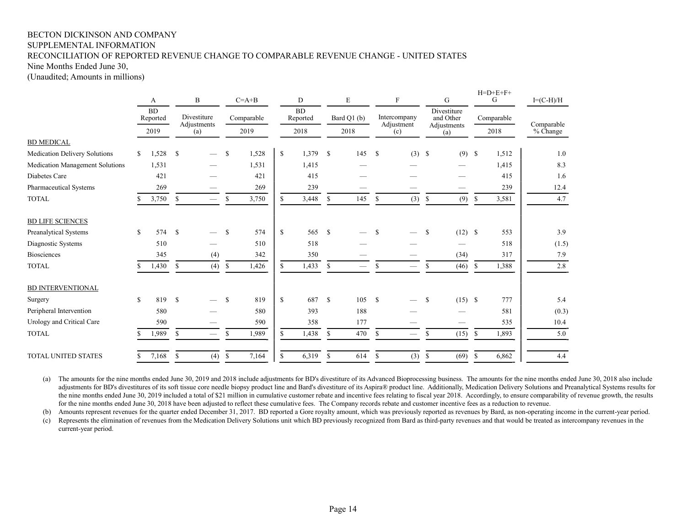## BECTON DICKINSON AND COMPANY SUPPLEMENTAL INFORMATION RECONCILIATION OF REPORTED REVENUE CHANGE TO COMPARABLE REVENUE CHANGE - UNITED STATES

Nine Months Ended June 30,

(Unaudited; Amounts in millions)

|                                 | A           |                       |               | B                          |               | $C=A+B$    |              | D                     |               | E           |               | $\boldsymbol{\mathrm{F}}$  |               | G                                       | ローレーヒートー<br>G |            | $I=(C-H)/H$ |
|---------------------------------|-------------|-----------------------|---------------|----------------------------|---------------|------------|--------------|-----------------------|---------------|-------------|---------------|----------------------------|---------------|-----------------------------------------|---------------|------------|-------------|
|                                 |             | <b>BD</b><br>Reported |               | Divestiture<br>Adjustments |               | Comparable |              | <b>BD</b><br>Reported |               | Bard Q1 (b) |               | Intercompany<br>Adjustment |               | Divestiture<br>and Other<br>Adjustments |               | Comparable | Comparable  |
|                                 |             | 2019                  |               | (a)                        |               | 2019       |              | 2018                  |               | 2018        |               | (c)                        |               | (a)                                     |               | 2018       | % Change    |
| <b>BD MEDICAL</b>               |             |                       |               |                            |               |            |              |                       |               |             |               |                            |               |                                         |               |            |             |
| Medication Delivery Solutions   | \$          | 1,528                 | -S            |                            | S             | 1,528      | $\mathbb{S}$ | 1,379                 | $\mathbf s$   | 145         | $\mathbb{S}$  | $(3)$ \$                   |               | $(9)$ \$                                |               | 1,512      | 1.0         |
| Medication Management Solutions |             | 1,531                 |               |                            |               | 1,531      |              | 1,415                 |               |             |               |                            |               |                                         |               | 1,415      | 8.3         |
| Diabetes Care                   |             | 421                   |               |                            |               | 421        |              | 415                   |               |             |               |                            |               |                                         |               | 415        | 1.6         |
| Pharmaceutical Systems          |             | 269                   |               |                            |               | 269        |              | 239                   |               |             |               |                            |               |                                         |               | 239        | 12.4        |
| <b>TOTAL</b>                    |             | 3,750                 | \$            |                            | \$            | 3,750      | S            | 3,448                 | <sup>\$</sup> | 145         | \$            | (3)                        | \$            | (9)                                     | -S            | 3,581      | 4.7         |
| <b>BD LIFE SCIENCES</b>         |             |                       |               |                            |               |            |              |                       |               |             |               |                            |               |                                         |               |            |             |
| <b>Preanalytical Systems</b>    | $\mathbf S$ | 574 \$                |               |                            | <sup>\$</sup> | 574        | $\mathbb{S}$ | 565                   | $\mathbf{s}$  |             | S             |                            | <sup>\$</sup> | $(12)$ \$                               |               | 553        | 3.9         |
| Diagnostic Systems              |             | 510                   |               |                            |               | 510        |              | 518                   |               |             |               |                            |               |                                         |               | 518        | (1.5)       |
| <b>Biosciences</b>              |             | 345                   |               | (4)                        |               | 342        |              | 350                   |               |             |               |                            |               | (34)                                    |               | 317        | 7.9         |
| <b>TOTAL</b>                    | S           | 1,430                 | $\mathbb{S}$  | (4)                        | <sup>\$</sup> | 1,426      | \$           | 1,433                 | \$            |             | S             |                            | \$            | (46)                                    | -S            | 1,388      | 2.8         |
| <b>BD INTERVENTIONAL</b>        |             |                       |               |                            |               |            |              |                       |               |             |               |                            |               |                                         |               |            |             |
| Surgery                         | $\mathbf S$ | 819                   | - S           |                            | <sup>\$</sup> | 819        | $\mathbb{S}$ | 687                   | $\mathbf{s}$  | 105         | <sup>\$</sup> |                            | \$            | $(15)$ \$                               |               | 777        | 5.4         |
| Peripheral Intervention         |             | 580                   |               |                            |               | 580        |              | 393                   |               | 188         |               |                            |               |                                         |               | 581        | (0.3)       |
| Urology and Critical Care       |             | 590                   |               |                            |               | 590        |              | 358                   |               | 177         |               |                            |               |                                         |               | 535        | 10.4        |
| <b>TOTAL</b>                    |             | 1,989                 | \$            |                            | S             | 1,989      | S.           | 1,438                 | <sup>\$</sup> | 470         | <sup>\$</sup> |                            | \$            | (15)                                    | -S            | 1,893      | 5.0         |
| <b>TOTAL UNITED STATES</b>      | \$          | 7,168                 | <sup>\$</sup> | (4)                        | \$            | 7,164      | S            | 6,319                 | <sup>\$</sup> | 614         | <sup>\$</sup> | (3)                        | \$            | $(69)$ \$                               |               | 6,862      | 4.4         |

(a) The amounts for the nine months ended June 30, 2019 and 2018 include adjustments for BD's divestiture of its Advanced Bioprocessing business. The amounts for the nine months ended June 30, 2018 also include adjustments for BD's divestitures of its soft tissue core needle biopsy product line and Bard's divestiture of its Aspira® product line. Additionally, Medication Delivery Solutions and Preanalytical Systems results for the nine months ended June 30, 2019 included a total of \$21 million in cumulative customer rebate and incentive fees relating to fiscal year 2018. Accordingly, to ensure comparability of revenue growth, the results for the nine months ended June 30, 2018 have been adjusted to reflect these cumulative fees. The Company records rebate and customer incentive fees as a reduction to revenue.

 $H \rightarrow H + H + F$ 

(b) Amounts represent revenues for the quarter ended December 31, 2017. BD reported a Gore royalty amount, which was previously reported as revenues by Bard, as non-operating income in the current-year period.

(c) Represents the elimination of revenues from the Medication Delivery Solutions unit which BD previously recognized from Bard as third-party revenues and that would be treated as intercompany revenues in the current-year period.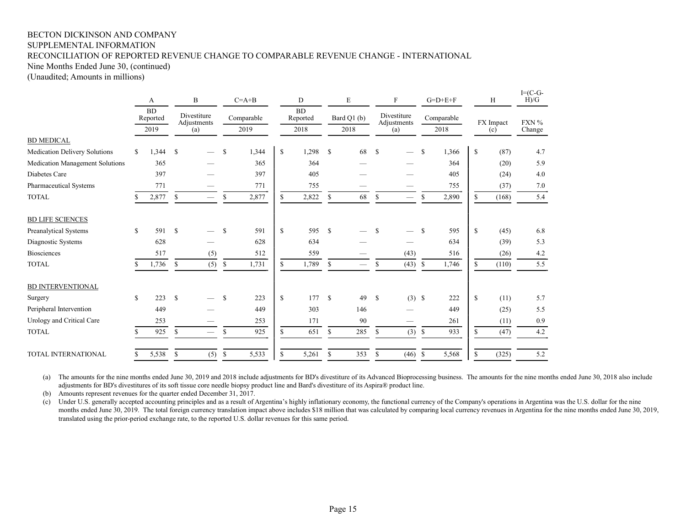## BECTON DICKINSON AND COMPANY SUPPLEMENTAL INFORMATION RECONCILIATION OF REPORTED REVENUE CHANGE TO COMPARABLE REVENUE CHANGE - INTERNATIONAL

Nine Months Ended June 30, (continued)

(Unaudited; Amounts in millions)

|                                 |               | A                     | B             |                                 | $C = A + B$   |                            | D             |            | E             |                          | $\mathbf F$ |                                 | $G=D+E+F$ |                            | H            |            | $I = (C - G -$<br>H)/G |           |       |
|---------------------------------|---------------|-----------------------|---------------|---------------------------------|---------------|----------------------------|---------------|------------|---------------|--------------------------|-------------|---------------------------------|-----------|----------------------------|--------------|------------|------------------------|-----------|-------|
|                                 |               | <b>BD</b><br>Reported |               |                                 |               | Divestiture<br>Adjustments |               | Comparable |               | <b>BD</b><br>Reported    |             | Bard Q1 (b)                     |           | Divestiture<br>Adjustments |              | Comparable |                        | FX Impact | FXN % |
|                                 | 2019          |                       | (a)           |                                 | 2019          |                            | 2018          |            | 2018          |                          | (a)         |                                 | 2018      |                            | (c)          |            | Change                 |           |       |
| <b>BD MEDICAL</b>               |               |                       |               |                                 |               |                            |               |            |               |                          |             |                                 |           |                            |              |            |                        |           |       |
| Medication Delivery Solutions   | $\mathcal{S}$ | 1,344                 | <sup>\$</sup> |                                 | \$            | 1,344                      | \$            | 1,298      | <sup>\$</sup> | 68                       | \$          |                                 | \$        | 1,366                      | $\mathbb{S}$ | (87)       | 4.7                    |           |       |
| Medication Management Solutions |               | 365                   |               |                                 |               | 365                        |               | 364        |               |                          |             |                                 |           | 364                        |              | (20)       | 5.9                    |           |       |
| Diabetes Care                   |               | 397                   |               |                                 |               | 397                        |               | 405        |               |                          |             |                                 |           | 405                        |              | (24)       | 4.0                    |           |       |
| Pharmaceutical Systems          |               | 771                   |               |                                 |               | 771                        |               | 755        |               |                          |             |                                 |           | 755                        |              | (37)       | 7.0                    |           |       |
| <b>TOTAL</b>                    |               | 2,877                 | \$            | $\hspace{0.1mm}-\hspace{0.1mm}$ | \$            | 2,877                      | S.            | 2,822      | \$            | 68                       | \$          | $\hspace{0.1mm}-\hspace{0.1mm}$ | \$        | 2,890                      | \$           | (168)      | 5.4                    |           |       |
| <b>BD LIFE SCIENCES</b>         |               |                       |               |                                 |               |                            |               |            |               |                          |             |                                 |           |                            |              |            |                        |           |       |
| Preanalytical Systems           | <sup>\$</sup> | 591                   | <sup>\$</sup> |                                 | S             | 591                        | \$            | 595        | <sup>\$</sup> |                          | \$          |                                 | \$        | 595                        | $\mathbf S$  | (45)       | 6.8                    |           |       |
| Diagnostic Systems              |               | 628                   |               |                                 |               | 628                        |               | 634        |               |                          |             |                                 |           | 634                        |              | (39)       | 5.3                    |           |       |
| <b>Biosciences</b>              |               | 517                   |               | (5)                             |               | 512                        |               | 559        |               |                          |             | (43)                            |           | 516                        |              | (26)       | 4.2                    |           |       |
| <b>TOTAL</b>                    |               | 1,736                 | \$            | (5)                             | \$            | 1,731                      | S.            | 1,789      | \$            | $\overline{\phantom{0}}$ | \$          | (43)                            | \$        | 1,746                      | S.           | (110)      | 5.5                    |           |       |
| <b>BD INTERVENTIONAL</b>        |               |                       |               |                                 |               |                            |               |            |               |                          |             |                                 |           |                            |              |            |                        |           |       |
| Surgery                         | <sup>\$</sup> | 223                   | <sup>\$</sup> |                                 | <sup>\$</sup> | 223                        | \$            | 177        | $\mathcal{S}$ | 49                       | \$          | $(3)$ \$                        |           | 222                        | \$           | (11)       | 5.7                    |           |       |
| Peripheral Intervention         |               | 449                   |               |                                 |               | 449                        |               | 303        |               | 146                      |             |                                 |           | 449                        |              | (25)       | 5.5                    |           |       |
| Urology and Critical Care       |               | 253                   |               |                                 |               | 253                        |               | 171        |               | 90                       |             |                                 |           | 261                        |              | (11)       | 0.9                    |           |       |
| <b>TOTAL</b>                    |               | 925                   | \$            |                                 | \$            | 925                        | $\mathcal{S}$ | 651        | $\mathbb{S}$  | 285                      | \$          | $(3)$ \$                        |           | 933                        | \$           | (47)       | 4.2                    |           |       |
| <b>TOTAL INTERNATIONAL</b>      | \$            | 5,538                 | \$            | (5)                             | \$            | 5,533                      | \$            | 5,261      | S             | 353                      | \$          | $(46)$ \$                       |           | 5,568                      | \$           | (325)      | 5.2                    |           |       |

(a) The amounts for the nine months ended June 30, 2019 and 2018 include adjustments for BD's divestiture of its Advanced Bioprocessing business. The amounts for the nine months ended June 30, 2018 also include adjustments for BD's divestitures of its soft tissue core needle biopsy product line and Bard's divestiture of its Aspira® product line.

(b) Amounts represent revenues for the quarter ended December 31, 2017.

(c) Under U.S. generally accepted accounting principles and as a result of Argentina's highly inflationary economy, the functional currency of the Company's operations in Argentina was the U.S. dollar for the nine months ended June 30, 2019. The total foreign currency translation impact above includes \$18 million that was calculated by comparing local currency revenues in Argentina for the nine months ended June 30, 2019, translated using the prior-period exchange rate, to the reported U.S. dollar revenues for this same period.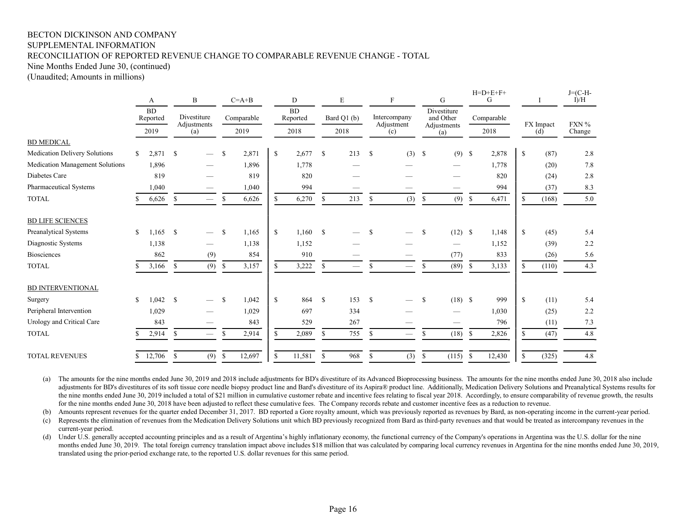### BECTON DICKINSON AND COMPANY SUPPLEMENTAL INFORMATION RECONCILIATION OF REPORTED REVENUE CHANGE TO COMPARABLE REVENUE CHANGE - TOTAL

Nine Months Ended June 30, (continued)

(Unaudited; Amounts in millions)

|                                 |               | A                             |               | B                                       |               | $C=A+B$ |               | D      |              | E    |               | $\mathbf{F}$      |              | G                  |               | $H=D+E+F+$<br>G |    |                       | $J = (C-H -$<br>I/H |             |  |              |  |                          |  |            |           |  |       |
|---------------------------------|---------------|-------------------------------|---------------|-----------------------------------------|---------------|---------|---------------|--------|--------------|------|---------------|-------------------|--------------|--------------------|---------------|-----------------|----|-----------------------|---------------------|-------------|--|--------------|--|--------------------------|--|------------|-----------|--|-------|
|                                 |               | <b>BD</b><br>Reported<br>2019 |               |                                         |               |         |               |        |              |      |               |                   |              | Divestiture        |               | Comparable      |    | <b>BD</b><br>Reported |                     | Bard Q1 (b) |  | Intercompany |  | Divestiture<br>and Other |  | Comparable | FX Impact |  | FXN % |
|                                 |               |                               |               | Adjustments<br>(a)                      |               | 2019    |               | 2018   |              | 2018 |               | Adjustment<br>(c) |              | Adjustments<br>(a) |               | 2018            |    | (d)                   | Change              |             |  |              |  |                          |  |            |           |  |       |
| <b>BD MEDICAL</b>               |               |                               |               |                                         |               |         |               |        |              |      |               |                   |              |                    |               |                 |    |                       |                     |             |  |              |  |                          |  |            |           |  |       |
| Medication Delivery Solutions   | S             | 2,871                         | -S            |                                         | S             | 2,871   | <sup>\$</sup> | 2,677  | $\mathbb{S}$ | 213  | <sup>\$</sup> | $(3)$ \$          |              | (9)                | \$            | 2,878           | \$ | (87)                  | 2.8                 |             |  |              |  |                          |  |            |           |  |       |
| Medication Management Solutions |               | 1,896                         |               |                                         |               | 1,896   |               | 1,778  |              |      |               |                   |              |                    |               | 1,778           |    | (20)                  | $7.8\,$             |             |  |              |  |                          |  |            |           |  |       |
| Diabetes Care                   |               | 819                           |               |                                         |               | 819     |               | 820    |              |      |               |                   |              |                    |               | 820             |    | (24)                  | 2.8                 |             |  |              |  |                          |  |            |           |  |       |
| <b>Pharmaceutical Systems</b>   |               | 1,040                         |               |                                         |               | 1,040   |               | 994    |              |      |               |                   |              |                    |               | 994             |    | (37)                  | 8.3                 |             |  |              |  |                          |  |            |           |  |       |
| <b>TOTAL</b>                    |               | 6,626                         | <sup>\$</sup> | $\hspace{1.0cm} \overline{\phantom{0}}$ | \$            | 6,626   | S.            | 6,270  | \$           | 213  | <sup>\$</sup> | (3)               | \$           | (9)                | $\mathbb{S}$  | 6,471           | \$ | (168)                 | 5.0                 |             |  |              |  |                          |  |            |           |  |       |
| <b>BD LIFE SCIENCES</b>         |               |                               |               |                                         |               |         |               |        |              |      |               |                   |              |                    |               |                 |    |                       |                     |             |  |              |  |                          |  |            |           |  |       |
| Preanalytical Systems           | S             | 1.165                         | - S           |                                         | S             | 1,165   | $\mathbf S$   | 1.160  | $\mathbb{S}$ |      | <sup>\$</sup> |                   | S            | (12)               | <sup>\$</sup> | 1,148           | S. | (45)                  | 5.4                 |             |  |              |  |                          |  |            |           |  |       |
| Diagnostic Systems              |               | 1,138                         |               |                                         |               | 1,138   |               | 1,152  |              |      |               |                   |              |                    |               | 1,152           |    | (39)                  | 2.2                 |             |  |              |  |                          |  |            |           |  |       |
| <b>Biosciences</b>              |               | 862                           |               | (9)                                     |               | 854     |               | 910    |              |      |               |                   |              | (77)               |               | 833             |    | (26)                  | 5.6                 |             |  |              |  |                          |  |            |           |  |       |
| <b>TOTAL</b>                    | S             | 3,166                         | <sup>\$</sup> | (9)                                     | <sup>\$</sup> | 3,157   | S             | 3,222  | \$           |      | S             |                   | S            | (89)               | S             | 3,133           | S  | (110)                 | 4.3                 |             |  |              |  |                          |  |            |           |  |       |
| <b>BD INTERVENTIONAL</b>        |               |                               |               |                                         |               |         |               |        |              |      |               |                   |              |                    |               |                 |    |                       |                     |             |  |              |  |                          |  |            |           |  |       |
| Surgery                         | <sup>\$</sup> | 1,042                         | -S            |                                         | S             | 1,042   | <sup>\$</sup> | 864    | $\mathbb{S}$ | 153  | <sup>\$</sup> |                   | \$           | $(18)$ \$          |               | 999             | \$ | (11)                  | 5.4                 |             |  |              |  |                          |  |            |           |  |       |
| Peripheral Intervention         |               | 1,029                         |               |                                         |               | 1,029   |               | 697    |              | 334  |               |                   |              |                    |               | 1,030           |    | (25)                  | 2.2                 |             |  |              |  |                          |  |            |           |  |       |
| Urology and Critical Care       |               | 843                           |               |                                         |               | 843     |               | 529    |              | 267  |               |                   |              |                    |               | 796             |    | (11)                  | 7.3                 |             |  |              |  |                          |  |            |           |  |       |
| <b>TOTAL</b>                    | S             | 2,914                         | $\mathbb{S}$  | $\overline{\phantom{0}}$                | S             | 2,914   | S.            | 2,089  | \$           | 755  | $\mathbb{S}$  |                   | \$           | (18)               | S             | 2,826           | S  | (47)                  | 4.8                 |             |  |              |  |                          |  |            |           |  |       |
| <b>TOTAL REVENUES</b>           |               | \$12,706                      | -S            | (9)                                     | \$            | 12,697  | \$            | 11,581 | S            | 968  | <sup>\$</sup> | (3)               | $\mathbb{S}$ | (115)              | <sup>\$</sup> | 12,430          | \$ | (325)                 | 4.8                 |             |  |              |  |                          |  |            |           |  |       |

(a) The amounts for the nine months ended June 30, 2019 and 2018 include adjustments for BD's divestiture of its Advanced Bioprocessing business. The amounts for the nine months ended June 30, 2018 also include adjustments for BD's divestitures of its soft tissue core needle biopsy product line and Bard's divestiture of its Aspira® product line. Additionally, Medication Delivery Solutions and Preanalytical Systems results for the nine months ended June 30, 2019 included a total of \$21 million in cumulative customer rebate and incentive fees relating to fiscal year 2018. Accordingly, to ensure comparability of revenue growth, the results for the nine months ended June 30, 2018 have been adjusted to reflect these cumulative fees. The Company records rebate and customer incentive fees as a reduction to revenue.

(b) Amounts represent revenues for the quarter ended December 31, 2017. BD reported a Gore royalty amount, which was previously reported as revenues by Bard, as non-operating income in the current-year period.

(c) Represents the elimination of revenues from the Medication Delivery Solutions unit which BD previously recognized from Bard as third-party revenues and that would be treated as intercompany revenues in the current-year period.

(d) Under U.S. generally accepted accounting principles and as a result of Argentina's highly inflationary economy, the functional currency of the Company's operations in Argentina was the U.S. dollar for the nine months ended June 30, 2019. The total foreign currency translation impact above includes \$18 million that was calculated by comparing local currency revenues in Argentina for the nine months ended June 30, 2019, translated using the prior-period exchange rate, to the reported U.S. dollar revenues for this same period.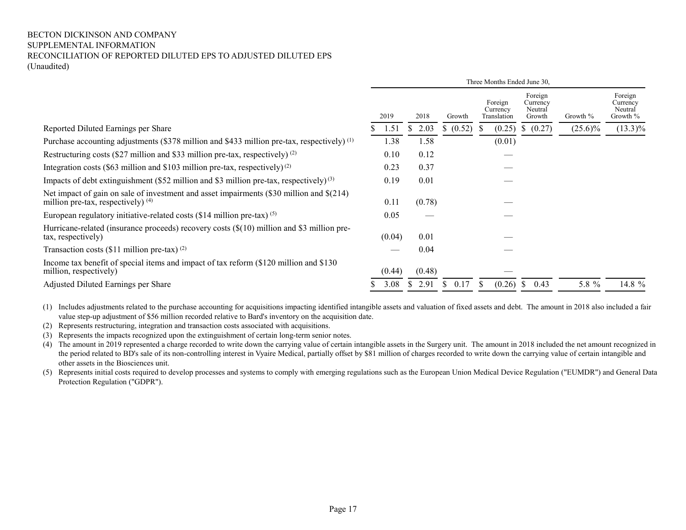#### BECTON DICKINSON AND COMPANY SUPPLEMENTAL INFORMATION RECONCILIATION OF REPORTED DILUTED EPS TO ADJUSTED DILUTED EPS (Unaudited)

|                                                                                                                                  | Three Months Ended June 30, |           |           |                                    |                                          |            |                                            |  |  |
|----------------------------------------------------------------------------------------------------------------------------------|-----------------------------|-----------|-----------|------------------------------------|------------------------------------------|------------|--------------------------------------------|--|--|
|                                                                                                                                  | 2019                        | 2018      | Growth    | Foreign<br>Currency<br>Translation | Foreign<br>Currency<br>Neutral<br>Growth | Growth %   | Foreign<br>Currency<br>Neutral<br>Growth % |  |  |
| Reported Diluted Earnings per Share                                                                                              | 1.51                        | 2.03<br>S | \$ (0.52) | (0.25)                             | (0.27)<br>S.                             | $(25.6)\%$ | $(13.3)\%$                                 |  |  |
| Purchase accounting adjustments (\$378 million and \$433 million pre-tax, respectively) (1)                                      | 1.38                        | 1.58      |           | (0.01)                             |                                          |            |                                            |  |  |
| Restructuring costs (\$27 million and \$33 million pre-tax, respectively) $(2)$                                                  | 0.10                        | 0.12      |           |                                    |                                          |            |                                            |  |  |
| Integration costs (\$63 million and \$103 million pre-tax, respectively) <sup>(2)</sup>                                          | 0.23                        | 0.37      |           |                                    |                                          |            |                                            |  |  |
| Impacts of debt extinguishment (\$52 million and \$3 million pre-tax, respectively) <sup>(3)</sup>                               | 0.19                        | 0.01      |           |                                    |                                          |            |                                            |  |  |
| Net impact of gain on sale of investment and asset impairments (\$30 million and \$(214)<br>million pre-tax, respectively) $(4)$ | 0.11                        | (0.78)    |           |                                    |                                          |            |                                            |  |  |
| European regulatory initiative-related costs $(\$14 \text{ million pre-tax})^{(\text{5})}$                                       | 0.05                        | __        |           |                                    |                                          |            |                                            |  |  |
| Hurricane-related (insurance proceeds) recovery costs $(\$(10)$ million and \\$3 million pre-<br>tax, respectively)              | (0.04)                      | 0.01      |           |                                    |                                          |            |                                            |  |  |
| Transaction costs $(\$11$ million pre-tax) (2)                                                                                   |                             | 0.04      |           |                                    |                                          |            |                                            |  |  |
| Income tax benefit of special items and impact of tax reform (\$120 million and \$130)<br>million, respectively)                 | (0.44)                      | (0.48)    |           |                                    |                                          |            |                                            |  |  |
| Adjusted Diluted Earnings per Share                                                                                              | 3.08                        | 2.91      | 0.17      | (0.26)                             | 0.43<br><sup>S</sup>                     | 5.8 %      | 14.8 $%$                                   |  |  |

(1) Includes adjustments related to the purchase accounting for acquisitions impacting identified intangible assets and valuation of fixed assets and debt. The amount in 2018 also included a fair value step-up adjustment of \$56 million recorded relative to Bard's inventory on the acquisition date.

- (2) Represents restructuring, integration and transaction costs associated with acquisitions.
- (3) Represents the impacts recognized upon the extinguishment of certain long-term senior notes.

(4) The amount in 2019 represented a charge recorded to write down the carrying value of certain intangible assets in the Surgery unit. The amount in 2018 included the net amount recognized in the period related to BD's sale of its non-controlling interest in Vyaire Medical, partially offset by \$81 million of charges recorded to write down the carrying value of certain intangible and other assets in the Biosciences unit.

(5) Represents initial costs required to develop processes and systems to comply with emerging regulations such as the European Union Medical Device Regulation ("EUMDR") and General Data Protection Regulation ("GDPR").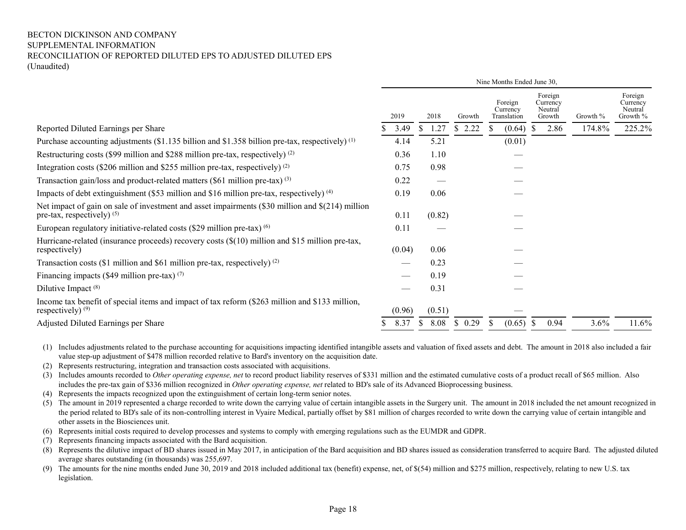#### BECTON DICKINSON AND COMPANY SUPPLEMENTAL INFORMATION RECONCILIATION OF REPORTED DILUTED EPS TO ADJUSTED DILUTED EPS (Unaudited)

|                                                                                                                                  | Nine Months Ended June 30, |        |        |                                    |                                          |          |                                            |  |  |  |
|----------------------------------------------------------------------------------------------------------------------------------|----------------------------|--------|--------|------------------------------------|------------------------------------------|----------|--------------------------------------------|--|--|--|
|                                                                                                                                  | 2019                       | 2018   | Growth | Foreign<br>Currency<br>Translation | Foreign<br>Currency<br>Neutral<br>Growth | Growth % | Foreign<br>Currency<br>Neutral<br>Growth % |  |  |  |
| Reported Diluted Earnings per Share                                                                                              | 3.49                       | 1.27   | \$2.22 | (0.64)                             | 2.86                                     | 174.8%   | 225.2%                                     |  |  |  |
| Purchase accounting adjustments (\$1.135 billion and \$1.358 billion pre-tax, respectively) <sup>(1)</sup>                       | 4.14                       | 5.21   |        | (0.01)                             |                                          |          |                                            |  |  |  |
| Restructuring costs (\$99 million and \$288 million pre-tax, respectively) $(2)$                                                 | 0.36                       | 1.10   |        |                                    |                                          |          |                                            |  |  |  |
| Integration costs (\$206 million and \$255 million pre-tax, respectively) $(2)$                                                  | 0.75                       | 0.98   |        |                                    |                                          |          |                                            |  |  |  |
| Transaction gain/loss and product-related matters $(\$61$ million pre-tax) $(3)$                                                 | 0.22                       |        |        |                                    |                                          |          |                                            |  |  |  |
| Impacts of debt extinguishment (\$53 million and \$16 million pre-tax, respectively) <sup>(4)</sup>                              | 0.19                       | 0.06   |        |                                    |                                          |          |                                            |  |  |  |
| Net impact of gain on sale of investment and asset impairments (\$30 million and \$(214) million<br>pre-tax, respectively) $(5)$ | 0.11                       | (0.82) |        |                                    |                                          |          |                                            |  |  |  |
| European regulatory initiative-related costs $(\$29$ million pre-tax) $^{(6)}$                                                   | 0.11                       |        |        |                                    |                                          |          |                                            |  |  |  |
| Hurricane-related (insurance proceeds) recovery costs (\$(10) million and \$15 million pre-tax,<br>respectively)                 | (0.04)                     | 0.06   |        |                                    |                                          |          |                                            |  |  |  |
| Transaction costs (\$1 million and \$61 million pre-tax, respectively) $(2)$                                                     |                            | 0.23   |        |                                    |                                          |          |                                            |  |  |  |
| Financing impacts (\$49 million pre-tax) $(7)$                                                                                   |                            | 0.19   |        |                                    |                                          |          |                                            |  |  |  |
| Dilutive Impact <sup>(8)</sup>                                                                                                   |                            | 0.31   |        |                                    |                                          |          |                                            |  |  |  |
| Income tax benefit of special items and impact of tax reform (\$263 million and \$133 million,<br>respectively) $(9)$            | (0.96)                     | (0.51) |        |                                    |                                          |          |                                            |  |  |  |
| Adjusted Diluted Earnings per Share                                                                                              | 8.37                       | 8.08   | \$0.29 | (0.65)<br><sup>S</sup>             | 0.94<br>S.                               | 3.6%     | 11.6%                                      |  |  |  |

(1) Includes adjustments related to the purchase accounting for acquisitions impacting identified intangible assets and valuation of fixed assets and debt. The amount in 2018 also included a fair value step-up adjustment of \$478 million recorded relative to Bard's inventory on the acquisition date.

(2) Represents restructuring, integration and transaction costs associated with acquisitions.

(3) Includes amounts recorded to *Other operating expense, net* to record product liability reserves of \$331 million and the estimated cumulative costs of a product recall of \$65 million. Also includes the pre-tax gain of \$336 million recognized in Other operating expense, net related to BD's sale of its Advanced Bioprocessing business.

(4) Represents the impacts recognized upon the extinguishment of certain long-term senior notes.

(5) The amount in 2019 represented a charge recorded to write down the carrying value of certain intangible assets in the Surgery unit. The amount in 2018 included the net amount recognized in the period related to BD's sale of its non-controlling interest in Vyaire Medical, partially offset by \$81 million of charges recorded to write down the carrying value of certain intangible and other assets in the Biosciences unit.

(6) Represents initial costs required to develop processes and systems to comply with emerging regulations such as the EUMDR and GDPR.

(7) Represents financing impacts associated with the Bard acquisition.

(8) Represents the dilutive impact of BD shares issued in May 2017, in anticipation of the Bard acquisition and BD shares issued as consideration transferred to acquire Bard. The adjusted diluted average shares outstanding (in thousands) was 255,697.

(9) The amounts for the nine months ended June 30, 2019 and 2018 included additional tax (benefit) expense, net, of \$(54) million and \$275 million, respectively, relating to new U.S. tax legislation.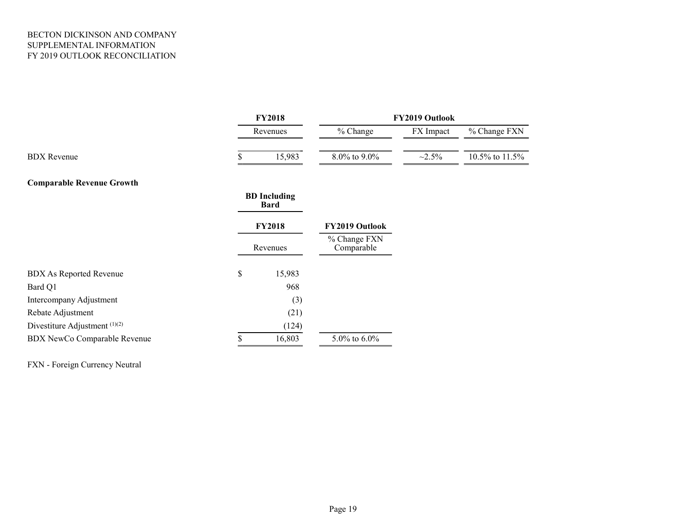### BECTON DICKINSON AND COMPANY SUPPLEMENTAL INFORMATION FY 2019 OUTLOOK RECONCILIATION

|                                  | <b>FY2018</b> |                             | FY2019 Outlook             |              |                |  |  |  |  |
|----------------------------------|---------------|-----------------------------|----------------------------|--------------|----------------|--|--|--|--|
|                                  |               | Revenues                    | % Change                   | FX Impact    | % Change FXN   |  |  |  |  |
| <b>BDX</b> Revenue               |               | 15,983                      | 8.0% to 9.0%               | $\sim 2.5\%$ | 10.5% to 11.5% |  |  |  |  |
| <b>Comparable Revenue Growth</b> |               |                             |                            |              |                |  |  |  |  |
|                                  |               | <b>BD</b> Including<br>Bard |                            |              |                |  |  |  |  |
|                                  |               | <b>FY2018</b>               | FY2019 Outlook             |              |                |  |  |  |  |
|                                  |               | Revenues                    | % Change FXN<br>Comparable |              |                |  |  |  |  |
| <b>BDX As Reported Revenue</b>   | \$            | 15,983                      |                            |              |                |  |  |  |  |
| Bard Q1                          |               | 968                         |                            |              |                |  |  |  |  |
| Intercompany Adjustment          |               | (3)                         |                            |              |                |  |  |  |  |
| Rebate Adjustment                |               | (21)                        |                            |              |                |  |  |  |  |
| Divestiture Adjustment (1)(2)    |               | (124)                       |                            |              |                |  |  |  |  |
| BDX NewCo Comparable Revenue     | \$            | 16,803                      | 5.0% to $6.0\%$            |              |                |  |  |  |  |

FXN - Foreign Currency Neutral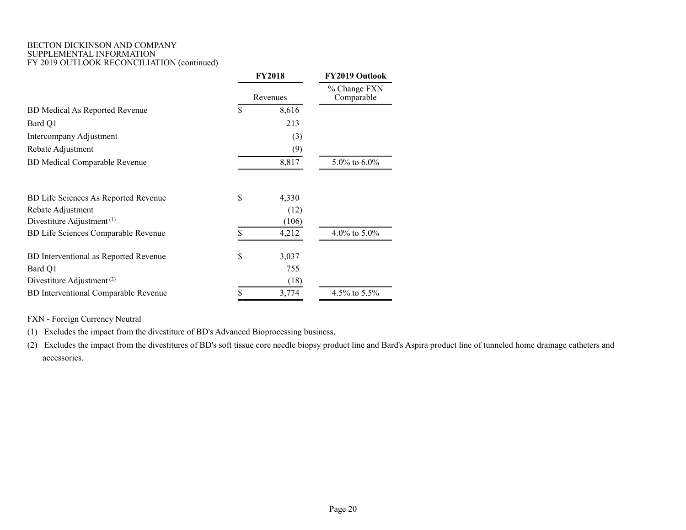#### BECTON DICKINSON AND COMPANY SUPPLEMENTAL INFORMATION FY 2019 OUTLOOK RECONCILIATION (continued)

|                                             | <b>FY2018</b> |                            | FY2019 Outlook  |  |  |
|---------------------------------------------|---------------|----------------------------|-----------------|--|--|
|                                             | Revenues      | % Change FXN<br>Comparable |                 |  |  |
| <b>BD</b> Medical As Reported Revenue       | \$            | 8,616                      |                 |  |  |
| Bard Q1                                     |               | 213                        |                 |  |  |
| Intercompany Adjustment                     |               | (3)                        |                 |  |  |
| Rebate Adjustment                           |               | (9)                        |                 |  |  |
| <b>BD</b> Medical Comparable Revenue        |               | 8,817                      | 5.0% to $6.0\%$ |  |  |
| BD Life Sciences As Reported Revenue        | \$            | 4,330                      |                 |  |  |
| Rebate Adjustment                           |               | (12)                       |                 |  |  |
| Divestiture Adjustment <sup>(1)</sup>       |               | (106)                      |                 |  |  |
| BD Life Sciences Comparable Revenue         |               | 4,212                      | 4.0% to $5.0\%$ |  |  |
| BD Interventional as Reported Revenue       | \$            | 3,037                      |                 |  |  |
| Bard Q1                                     |               | 755                        |                 |  |  |
| Divestiture Adjustment <sup>(2)</sup>       |               | (18)                       |                 |  |  |
| <b>BD</b> Interventional Comparable Revenue |               | 3,774                      | 4.5% to 5.5%    |  |  |
|                                             |               |                            |                 |  |  |

FXN - Foreign Currency Neutral

(1) Excludes the impact from the divestiture of BD's Advanced Bioprocessing business.

(2) Excludes the impact from the divestitures of BD's soft tissue core needle biopsy product line and Bard's Aspira product line of tunneled home drainage catheters and accessories.